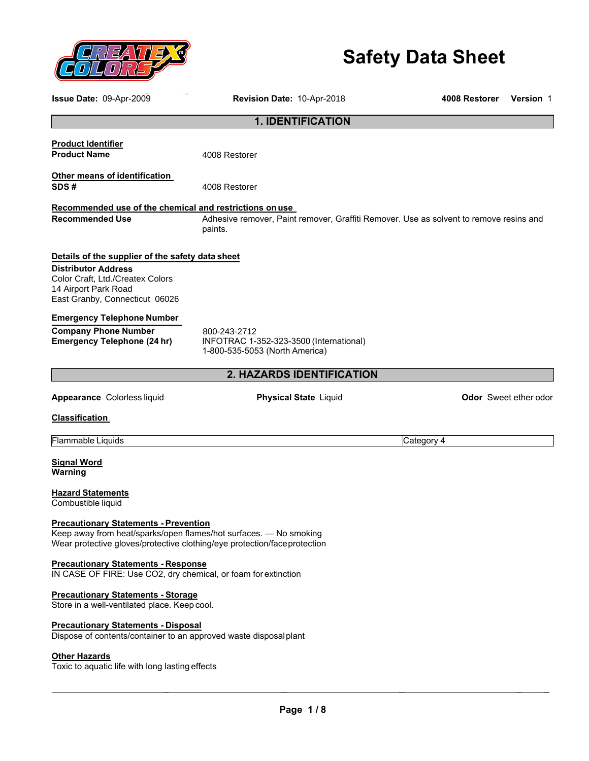

# **Safety Data Sheet**

**Issue Date:** 09-Apr-2009 **Revision Date:** 10-Apr-2018 **4008 Restorer Version** 1

|                                                                                                                                                                                                | <b>1. IDENTIFICATION</b>                                                                          |                              |
|------------------------------------------------------------------------------------------------------------------------------------------------------------------------------------------------|---------------------------------------------------------------------------------------------------|------------------------------|
| <b>Product Identifier</b><br><b>Product Name</b>                                                                                                                                               | 4008 Restorer                                                                                     |                              |
| Other means of identification<br>SDS#                                                                                                                                                          | 4008 Restorer                                                                                     |                              |
| Recommended use of the chemical and restrictions on use                                                                                                                                        |                                                                                                   |                              |
| <b>Recommended Use</b>                                                                                                                                                                         | Adhesive remover, Paint remover, Graffiti Remover. Use as solvent to remove resins and<br>paints. |                              |
| Details of the supplier of the safety data sheet                                                                                                                                               |                                                                                                   |                              |
| <b>Distributor Address</b><br>Color Craft, Ltd./Createx Colors<br>14 Airport Park Road<br>East Granby, Connecticut 06026                                                                       |                                                                                                   |                              |
| <b>Emergency Telephone Number</b>                                                                                                                                                              |                                                                                                   |                              |
| <b>Company Phone Number</b><br><b>Emergency Telephone (24 hr)</b>                                                                                                                              | 800-243-2712<br>INFOTRAC 1-352-323-3500 (International)<br>1-800-535-5053 (North America)         |                              |
|                                                                                                                                                                                                | <b>2. HAZARDS IDENTIFICATION</b>                                                                  |                              |
| Appearance Colorless liquid                                                                                                                                                                    | <b>Physical State Liquid</b>                                                                      | <b>Odor</b> Sweet ether odor |
| <b>Classification</b>                                                                                                                                                                          |                                                                                                   |                              |
| Flammable Liquids                                                                                                                                                                              |                                                                                                   | Category 4                   |
| <b>Signal Word</b><br>Warning                                                                                                                                                                  |                                                                                                   |                              |
| <b>Hazard Statements</b><br>Combustible liquid                                                                                                                                                 |                                                                                                   |                              |
| <b>Precautionary Statements - Prevention</b><br>Keep away from heat/sparks/open flames/hot surfaces. - No smoking<br>Wear protective gloves/protective clothing/eye protection/face protection |                                                                                                   |                              |

#### **Precautionary Statements - Response**

IN CASE OF FIRE: Use CO2, dry chemical, or foam for extinction

### **Precautionary Statements - Storage**

Store in a well-ventilated place. Keep cool.

### **Precautionary Statements - Disposal**

Dispose of contents/container to an approved waste disposalplant

#### **Other Hazards**

Toxic to aquatic life with long lasting effects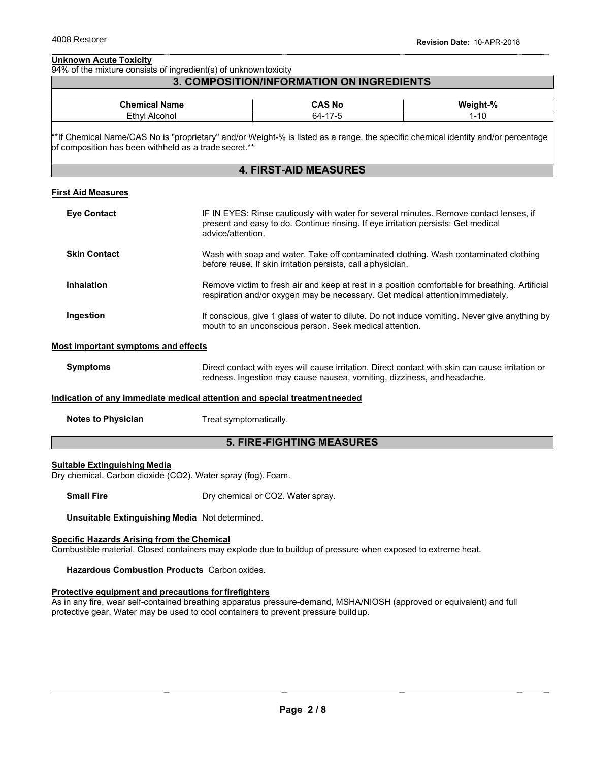### **Unknown Acute Toxicity**

94% of the mixture consists of ingredient(s) of unknown toxicity

### **3. COMPOSITION/INFORMATION ON INGREDIENTS**

| <b>Chamiss</b><br>.<br>ame<br>-ша. | .<br>.NO<br>$\sim$                 | $\mathbf{a}$<br>៶៱៸៱<br>---<br>70 |
|------------------------------------|------------------------------------|-----------------------------------|
| ™thvi.<br>.<br>onor                | . .<br>ה א<br>$\sim$ $\sim$ $\sim$ | . A r<br>$1 - 10$                 |

\*\*If Chemical Name/CAS No is "proprietary" and/or Weight-% is listed as a range, the specific chemical identity and/or percentage of composition has been withheld as a trade secret.\*\*

### **4. FIRST-AID MEASURES**

### **First Aid Measures**

| <b>Eye Contact</b>  | IF IN EYES: Rinse cautiously with water for several minutes. Remove contact lenses, if<br>present and easy to do. Continue rinsing. If eye irritation persists: Get medical<br>advice/attention. |
|---------------------|--------------------------------------------------------------------------------------------------------------------------------------------------------------------------------------------------|
| <b>Skin Contact</b> | Wash with soap and water. Take off contaminated clothing. Wash contaminated clothing<br>before reuse. If skin irritation persists, call a physician.                                             |
| <b>Inhalation</b>   | Remove victim to fresh air and keep at rest in a position comfortable for breathing. Artificial<br>respiration and/or oxygen may be necessary. Get medical attention immediately.                |
| Ingestion           | If conscious, give 1 glass of water to dilute. Do not induce vomiting. Never give anything by<br>mouth to an unconscious person. Seek medical attention.                                         |

#### **Most important symptoms and effects**

| <b>Symptoms</b> | Direct contact with eyes will cause irritation. Direct contact with skin can cause irritation or |
|-----------------|--------------------------------------------------------------------------------------------------|
|                 | redness. Ingestion may cause nausea, vomiting, dizziness, and headache.                          |

#### **Indication of any immediate medical attention and special treatmentneeded**

**Notes to Physician** Treat symptomatically.

#### **5. FIRE-FIGHTING MEASURES**

#### **Suitable Extinguishing Media**

Dry chemical. Carbon dioxide (CO2). Water spray (fog). Foam.

**Small Fire** Dry chemical or CO2. Water spray.

**Unsuitable Extinguishing Media** Not determined.

#### **Specific Hazards Arising from the Chemical**

Combustible material. Closed containers may explode due to buildup of pressure when exposed to extreme heat.

**Hazardous Combustion Products** Carbon oxides.

### **Protective equipment and precautions for firefighters**

As in any fire, wear self-contained breathing apparatus pressure-demand, MSHA/NIOSH (approved or equivalent) and full protective gear. Water may be used to cool containers to prevent pressure buildup.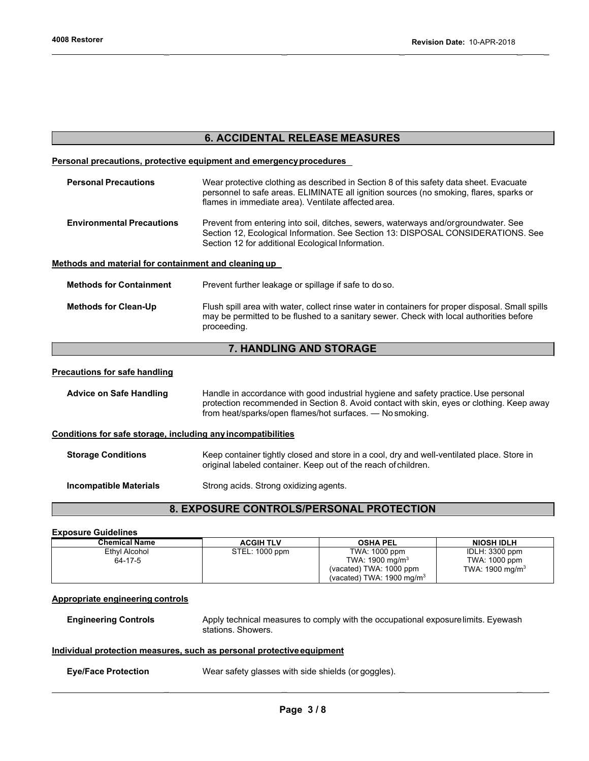### **6. ACCIDENTAL RELEASE MEASURES**

#### **Personal precautions, protective equipment and emergency procedures**

| <b>Personal Precautions</b>                          | Wear protective clothing as described in Section 8 of this safety data sheet. Evacuate<br>personnel to safe areas. ELIMINATE all ignition sources (no smoking, flares, sparks or<br>flames in immediate area). Ventilate affected area. |  |  |  |
|------------------------------------------------------|-----------------------------------------------------------------------------------------------------------------------------------------------------------------------------------------------------------------------------------------|--|--|--|
| <b>Environmental Precautions</b>                     | Prevent from entering into soil, ditches, sewers, waterways and/orgroundwater. See<br>Section 12, Ecological Information. See Section 13: DISPOSAL CONSIDERATIONS. See<br>Section 12 for additional Ecological Information.             |  |  |  |
| Methods and material for containment and cleaning up |                                                                                                                                                                                                                                         |  |  |  |
| <b>Methods for Containment</b>                       | Prevent further leakage or spillage if safe to do so.                                                                                                                                                                                   |  |  |  |
| <b>Methods for Clean-Up</b>                          | Flush spill area with water, collect rinse water in containers for proper disposal. Small spills<br>may be permitted to be flushed to a sanitary sewer. Check with local authorities before<br>proceeding.                              |  |  |  |

### **7. HANDLING AND STORAGE**

#### **Precautions for safe handling**

Advice on Safe Handling **Handle in accordance with good industrial hygiene and safety practice. Use personal** protection recommended in Section 8. Avoid contact with skin, eyes or clothing. Keep away from heat/sparks/open flames/hot surfaces. — No smoking.

### **Conditions for safe storage, including any incompatibilities**

| <b>Storage Conditions</b>     | Keep container tightly closed and store in a cool, dry and well-ventilated place. Store in<br>original labeled container. Keep out of the reach of children. |  |
|-------------------------------|--------------------------------------------------------------------------------------------------------------------------------------------------------------|--|
| <b>Incompatible Materials</b> | Strong acids. Strong oxidizing agents.                                                                                                                       |  |

### **8. EXPOSURE CONTROLS/PERSONAL PROTECTION**

#### **Exposure Guidelines**

| Chemical Name | <b>ACGIH TLV</b> | <b>OSHA PEL</b>                      | <b>NIOSH IDLH</b>  |
|---------------|------------------|--------------------------------------|--------------------|
| Ethyl Alcohol | STEL: 1000 ppm   | TWA: 1000 ppm                        | IDLH: 3300 ppm     |
| 64-17-5       |                  | TWA: $1900 \text{ mg/m}^3$           | TWA: 1000 ppm      |
|               |                  | (vacated) TWA: 1000 ppm              | TWA: 1900 mg/m $3$ |
|               |                  | (vacated) TWA: $1900 \text{ mg/m}^3$ |                    |

#### **Appropriate engineering controls**

**Engineering Controls Apply technical measures to comply with the occupational exposure limits. Eyewash** stations. Showers.

#### **Individual protection measures, such as personal protective equipment**

**Eye/Face Protection** Wear safety glasses with side shields (or goggles).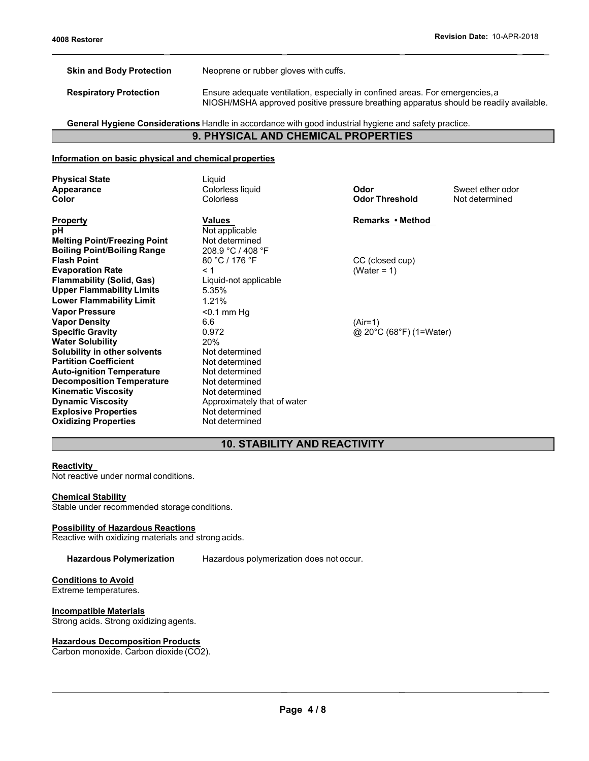**Skin and Body Protection** Neoprene or rubber gloves with cuffs.

**Respiratory Protection** Ensure adequate ventilation, especially in confined areas. For emergencies, a NIOSH/MSHA approved positive pressure breathing apparatus should be readily available.

 $\mathcal{L} = \mathcal{L} \times \mathcal{L}$  , where  $\mathcal{L} = \mathcal{L} \times \mathcal{L}$  , where  $\mathcal{L} = \mathcal{L} \times \mathcal{L}$  , where  $\mathcal{L} = \mathcal{L} \times \mathcal{L}$ 

### **General Hygiene Considerations** Handle in accordance with good industrial hygiene and safety practice. **9. PHYSICAL AND CHEMICAL PROPERTIES**

#### **Information on basic physical and chemical properties**

| <b>Physical State</b><br>Appearance<br>Color                                                                                                                                                 | Liguid<br>Colorless liquid<br><b>Colorless</b>                                                                        | Odor<br><b>Odor Threshold</b>        | Sweet ether odor<br>Not determined |
|----------------------------------------------------------------------------------------------------------------------------------------------------------------------------------------------|-----------------------------------------------------------------------------------------------------------------------|--------------------------------------|------------------------------------|
| <b>Property</b><br>рH<br><b>Melting Point/Freezing Point</b><br><b>Boiling Point/Boiling Range</b>                                                                                           | Values<br>Not applicable<br>Not determined<br>208.9 °C / 408 °F                                                       | Remarks • Method                     |                                    |
| <b>Flash Point</b><br><b>Evaporation Rate</b><br><b>Flammability (Solid, Gas)</b><br><b>Upper Flammability Limits</b><br><b>Lower Flammability Limit</b>                                     | 80 °C / 176 °F<br>< 1<br>Liquid-not applicable<br>5.35%<br>1.21%                                                      | CC (closed cup)<br>(Water = 1)       |                                    |
| <b>Vapor Pressure</b><br><b>Vapor Density</b><br><b>Specific Gravity</b><br><b>Water Solubility</b><br>Solubility in other solvents<br><b>Partition Coefficient</b>                          | $<$ 0.1 mm Hg<br>6.6<br>0.972<br>20%<br>Not determined<br>Not determined                                              | $(Air=1)$<br>@ 20°C (68°F) (1=Water) |                                    |
| <b>Auto-ignition Temperature</b><br><b>Decomposition Temperature</b><br><b>Kinematic Viscosity</b><br><b>Dynamic Viscosity</b><br><b>Explosive Properties</b><br><b>Oxidizing Properties</b> | Not determined<br>Not determined<br>Not determined<br>Approximately that of water<br>Not determined<br>Not determined |                                      |                                    |

### **10. STABILITY AND REACTIVITY**

#### **Reactivity**

Not reactive under normal conditions.

#### **Chemical Stability**

Stable under recommended storage conditions.

#### **Possibility of Hazardous Reactions**

Reactive with oxidizing materials and strong acids.

**Hazardous Polymerization** Hazardous polymerization does not occur.

### **Conditions to Avoid**

Extreme temperatures.

#### **Incompatible Materials**

Strong acids. Strong oxidizing agents.

#### **Hazardous Decomposition Products**

Carbon monoxide. Carbon dioxide (CO2).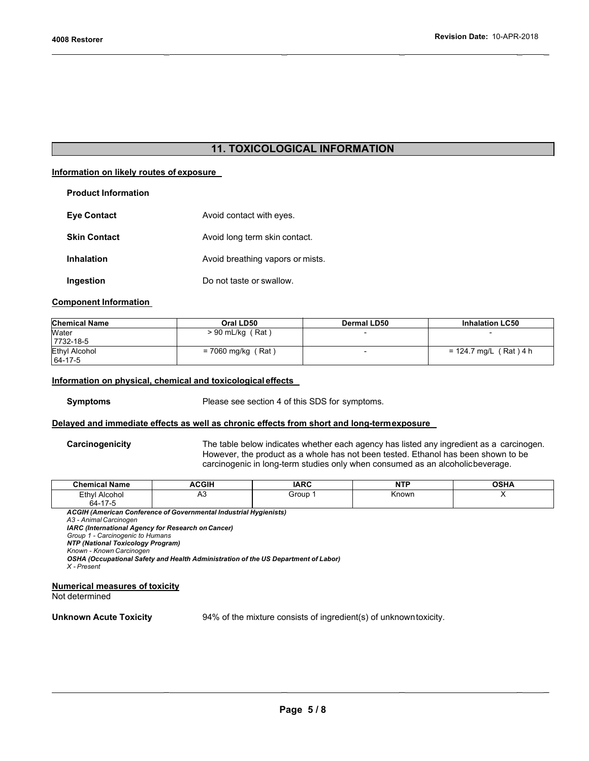### **11. TOXICOLOGICAL INFORMATION**

 $\mathcal{L} = \mathcal{L} \times \mathcal{L}$  , where  $\mathcal{L} = \mathcal{L} \times \mathcal{L}$  , where  $\mathcal{L} = \mathcal{L} \times \mathcal{L}$  , where  $\mathcal{L} = \mathcal{L} \times \mathcal{L}$ 

#### **Information on likely routes of exposure**

| <b>Product Information</b> |                                  |
|----------------------------|----------------------------------|
| <b>Eye Contact</b>         | Avoid contact with eyes.         |
| <b>Skin Contact</b>        | Avoid long term skin contact.    |
| <b>Inhalation</b>          | Avoid breathing vapors or mists. |
| Ingestion                  | Do not taste or swallow.         |

#### **Component Information**

| <b>Chemical Name</b> | Oral LD50            | Dermal LD50 | <b>Inhalation LC50</b>   |
|----------------------|----------------------|-------------|--------------------------|
| Water                | $> 90$ mL/kg (Rat)   |             |                          |
| 7732-18-5            |                      |             |                          |
| <b>Ethyl Alcohol</b> | $= 7060$ mg/kg (Rat) |             | $= 124.7$ mg/L (Rat) 4 h |
| $164 - 17 - 5$       |                      |             |                          |

#### **Information on physical, chemical and toxicological effects**

**Symptoms** Please see section 4 of this SDS for symptoms.

#### **Delayed and immediate effects as well as chronic effects from short and long-term exposure**

**Carcinogenicity** The table below indicates whether each agency has listed any ingredient as a carcinogen. However, the product as a whole has not been tested. Ethanol has been shown to be carcinogenic in long-term studies only when consumed as an alcoholic beverage.

| <b>Chemical Name</b>                                                                                                                                                                                                                                                                                                                                                             | <b>ACGIH</b> | <b>IARC</b>                                                       | <b>NTP</b> | <b>OSHA</b> |  |
|----------------------------------------------------------------------------------------------------------------------------------------------------------------------------------------------------------------------------------------------------------------------------------------------------------------------------------------------------------------------------------|--------------|-------------------------------------------------------------------|------------|-------------|--|
| Ethyl Alcohol                                                                                                                                                                                                                                                                                                                                                                    | A3           | Group 1                                                           | Known      | х           |  |
| 64-17-5                                                                                                                                                                                                                                                                                                                                                                          |              |                                                                   |            |             |  |
| <b>ACGIH (American Conference of Governmental Industrial Hygienists)</b><br>A3 - Animal Carcinogen<br><b>IARC (International Agency for Research on Cancer)</b><br>Group 1 - Carcinogenic to Humans<br><b>NTP (National Toxicology Program)</b><br>Known - Known Carcinogen<br>OSHA (Occupational Safety and Health Administration of the US Department of Labor)<br>X - Present |              |                                                                   |            |             |  |
| Numerical measures of toxicity<br>Not determined                                                                                                                                                                                                                                                                                                                                 |              |                                                                   |            |             |  |
| <b>Unknown Acute Toxicity</b>                                                                                                                                                                                                                                                                                                                                                    |              | 94% of the mixture consists of ingredient(s) of unknown toxicity. |            |             |  |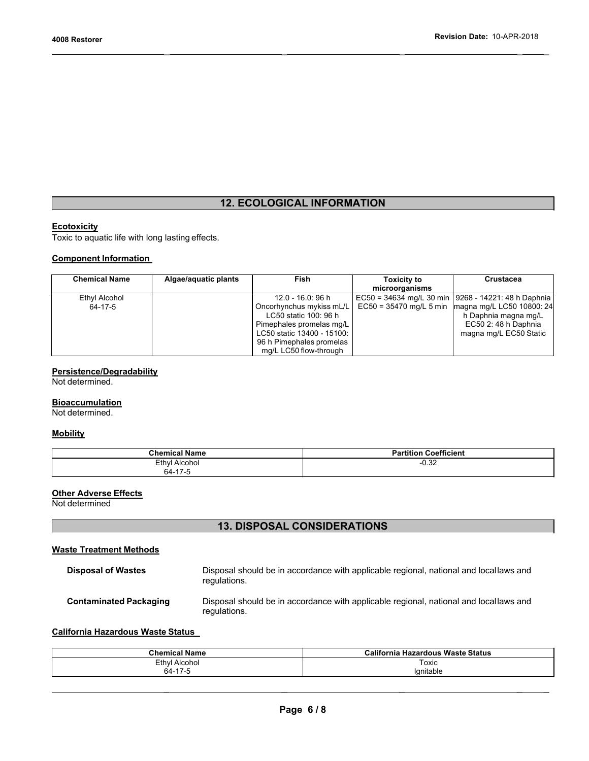## **12. ECOLOGICAL INFORMATION**

 $\mathcal{L} = \mathcal{L} \times \mathcal{L}$  , where  $\mathcal{L} = \mathcal{L} \times \mathcal{L}$  , where  $\mathcal{L} = \mathcal{L} \times \mathcal{L}$  , where  $\mathcal{L} = \mathcal{L} \times \mathcal{L}$ 

### **Ecotoxicity**

Toxic to aquatic life with long lasting effects.

### **Component Information**

| <b>Chemical Name</b> | Algae/aquatic plants | <b>Fish</b>                | <b>Toxicity to</b> | Crustacea                                             |
|----------------------|----------------------|----------------------------|--------------------|-------------------------------------------------------|
|                      |                      |                            | microorganisms     |                                                       |
| Ethyl Alcohol        |                      | 12.0 - 16.0: 96 h          |                    | EC50 = 34634 mg/L 30 min   9268 - 14221: 48 h Daphnia |
| 64-17-5              |                      | Oncorhynchus mykiss mL/L   |                    | EC50 = 35470 mg/L 5 min   magna mg/L LC50 10800: 24   |
|                      |                      | LC50 static 100: 96 h      |                    | h Daphnia magna mg/L                                  |
|                      |                      | Pimephales promelas mg/L   |                    | EC50 2: 48 h Daphnia                                  |
|                      |                      | LC50 static 13400 - 15100: |                    | magna mg/L EC50 Static                                |
|                      |                      | 96 h Pimephales promelas   |                    |                                                       |
|                      |                      | mg/L LC50 flow-through     |                    |                                                       |

### **Persistence/Degradability**

Not determined.

#### **Bioaccumulation**

Not determined.

#### **Mobility**

| <b>Chemical Name</b> | ---<br>----<br><b>Coetticient</b> |
|----------------------|-----------------------------------|
| Ethyl Alcohol        | ∩ วว<br>-∪.ఎ∠                     |
| 64-17-5              |                                   |

### **Other Adverse Effects**

Not determined

### **13. DISPOSAL CONSIDERATIONS**

### **Waste Treatment Methods**

| <b>Disposal of Wastes</b>     | Disposal should be in accordance with applicable regional, national and locallaws and<br>regulations. |
|-------------------------------|-------------------------------------------------------------------------------------------------------|
| <b>Contaminated Packaging</b> | Disposal should be in accordance with applicable regional, national and locallaws and<br>regulations. |

### **California Hazardous Waste Status**

| <b>Chemical Name</b>                       | California<br><b>Waste Status</b><br><b>Hazardous</b> |  |
|--------------------------------------------|-------------------------------------------------------|--|
| Ethyl<br>Alcohol<br>$\sim$                 | Toxic                                                 |  |
| $\overline{A}$<br>64-<br>$\sim$ 1 / $\sim$ | lanitable                                             |  |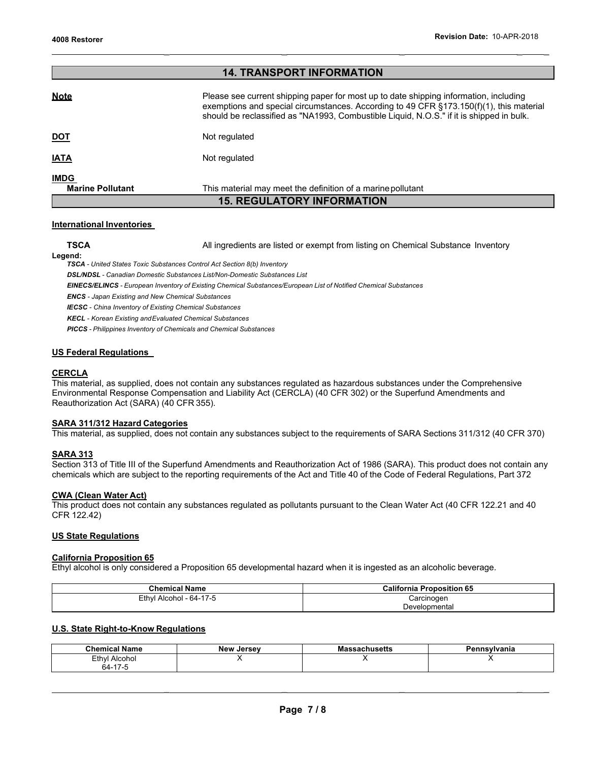| <b>14. TRANSPORT INFORMATION</b>       |                                                                                                                                                                                                                                                                                  |  |
|----------------------------------------|----------------------------------------------------------------------------------------------------------------------------------------------------------------------------------------------------------------------------------------------------------------------------------|--|
| <b>Note</b>                            | Please see current shipping paper for most up to date shipping information, including<br>exemptions and special circumstances. According to 49 CFR $\S$ 173.150(f)(1), this material<br>should be reclassified as "NA1993, Combustible Liquid, N.O.S." if it is shipped in bulk. |  |
| <u>DOT</u>                             | Not regulated                                                                                                                                                                                                                                                                    |  |
| <u>IATA</u>                            | Not regulated                                                                                                                                                                                                                                                                    |  |
| <b>IMDG</b><br><b>Marine Pollutant</b> | This material may meet the definition of a marine pollutant                                                                                                                                                                                                                      |  |
| <b>15. REGULATORY INFORMATION</b>      |                                                                                                                                                                                                                                                                                  |  |

#### **International Inventories**

**TSCA** All ingredients are listed or exempt from listing on Chemical Substance Inventory

 $\mathcal{L} = \mathcal{L} \times \mathcal{L}$  , where  $\mathcal{L} = \mathcal{L} \times \mathcal{L}$  , where  $\mathcal{L} = \mathcal{L} \times \mathcal{L}$  , where  $\mathcal{L} = \mathcal{L} \times \mathcal{L}$ 

**Legend:**

*TSCA - United States Toxic Substances Control Act Section 8(b) Inventory*

*DSL/NDSL - Canadian Domestic Substances List/Non-Domestic Substances List*

*EINECS/ELINCS - European Inventory of Existing Chemical Substances/European List of Notified Chemical Substances*

*ENCS - Japan Existing and New Chemical Substances* 

*IECSC - China Inventory of Existing Chemical Substances* 

*KECL - Korean Existing andEvaluated Chemical Substances*

*PICCS - Philippines Inventory of Chemicals and Chemical Substances*

#### **US Federal Regulations**

#### **CERCLA**

This material, as supplied, does not contain any substances regulated as hazardous substances under the Comprehensive Environmental Response Compensation and Liability Act (CERCLA) (40 CFR 302) or the Superfund Amendments and Reauthorization Act (SARA) (40 CFR 355).

#### **SARA 311/312 Hazard Categories**

This material, as supplied, does not contain any substances subject to the requirements of SARA Sections 311/312 (40 CFR 370)

#### **SARA 313**

Section 313 of Title III of the Superfund Amendments and Reauthorization Act of 1986 (SARA). This product does not contain any chemicals which are subject to the reporting requirements of the Act and Title 40 of the Code of Federal Regulations, Part 372

#### **CWA (Clean Water Act)**

This product does not contain any substances regulated as pollutants pursuant to the Clean Water Act (40 CFR 122.21 and 40 CFR 122.42)

#### **US State Regulations**

#### **California Proposition 65**

Ethyl alcohol is only considered a Proposition 65 developmental hazard when it is ingested as an alcoholic beverage.

| <b>Chemical Name</b>    | <b>California Proposition 65</b> |  |
|-------------------------|----------------------------------|--|
| Ethyl Alcohol - 64-17-5 | Carcinogen                       |  |
|                         | Developmental                    |  |

#### **U.S. State Right-to-Know Regulations**

| .<br>Chemical<br><b>Name</b> | <b>New Jersey</b> | sachusetts۔۔<br>ма: | <b>nsylvania</b> |
|------------------------------|-------------------|---------------------|------------------|
| <b>Ethyl</b><br>Alcohol      |                   |                     |                  |
| 64-17-5                      |                   |                     |                  |